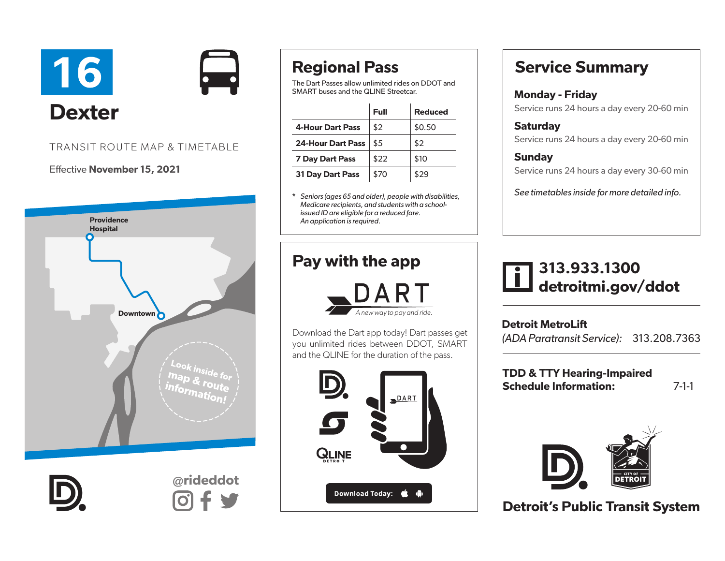

### TRANSIT ROUTE MAP & TIMETABLE

#### Effective November 15, 2021



@rideddot

# Regional Pass

The Dart Passes allow unlimited rides on DDOT and SMART buses and the QLINE Streetcar.

|                          | Full | <b>Reduced</b> |
|--------------------------|------|----------------|
| <b>4-Hour Dart Pass</b>  | \$2  | \$0.50         |
| <b>24-Hour Dart Pass</b> | \$5  | \$2            |
| <b>7 Day Dart Pass</b>   | \$22 | \$10           |
| <b>31 Day Dart Pass</b>  | \$70 | \$29           |

\* *Seniors (ages 65 and older), people with disabilities, Medicare recipients, and students with a schoolissued ID are eligible for a reduced fare. An application is required.* 

### Pay with the app



Download the Dart app today! Dart passes get you unlimited rides between DDOT, SMART and the QLINE for the duration of the pass.



### Service Summary

### Monday - Friday

Service runs 24 hours a day every 20-60 min

**Saturdav** Service runs 24 hours a day every 20-60 min

### **Sunday** Service runs 24 hours a day every 30-60 min

*See timetables inside for more detailed info.*

## 313.933.1300 detroitmi.gov/ddot

Detroit MetroLift *(ADA Paratransit Service):* 313.208.7363

TDD & TTY Hearing-Impaired Schedule Information: 7-1-1



Detroit's Public Transit System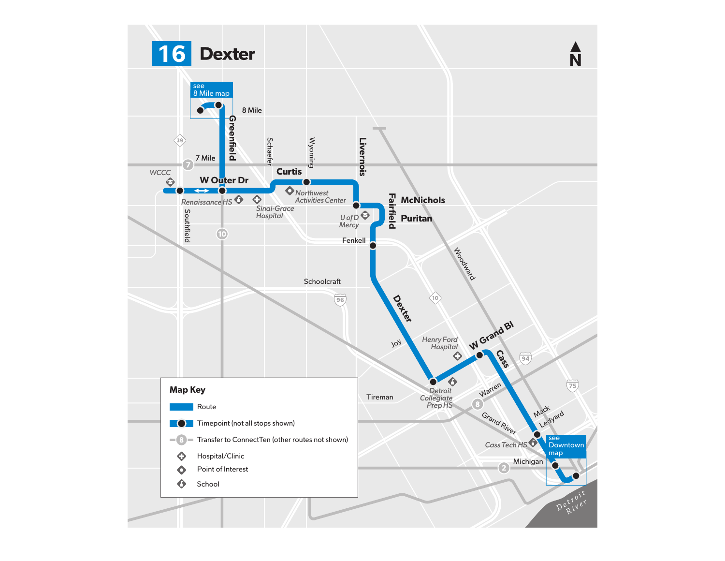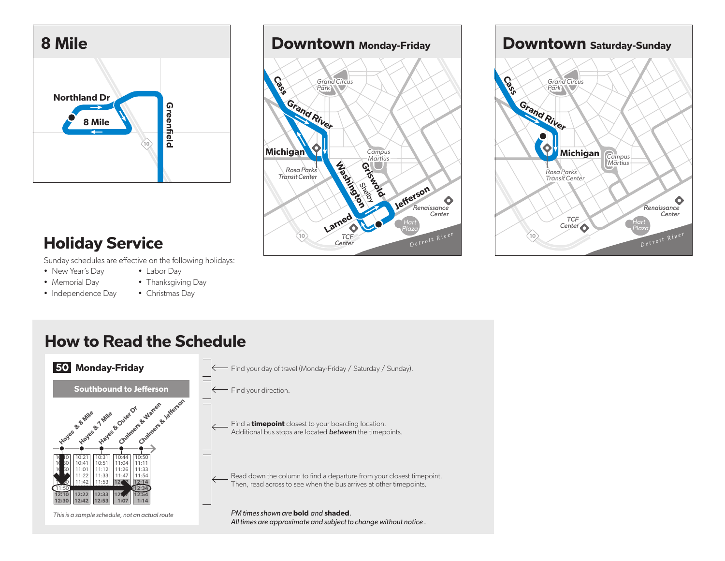





# Holiday Service

Sunday schedules are effective on the following holidays:

- New Year's Day
- Memorial Day
- Independence Day
- Labor Day • Thanksgiving Day
- Christmas Day



### How to Read the Schedule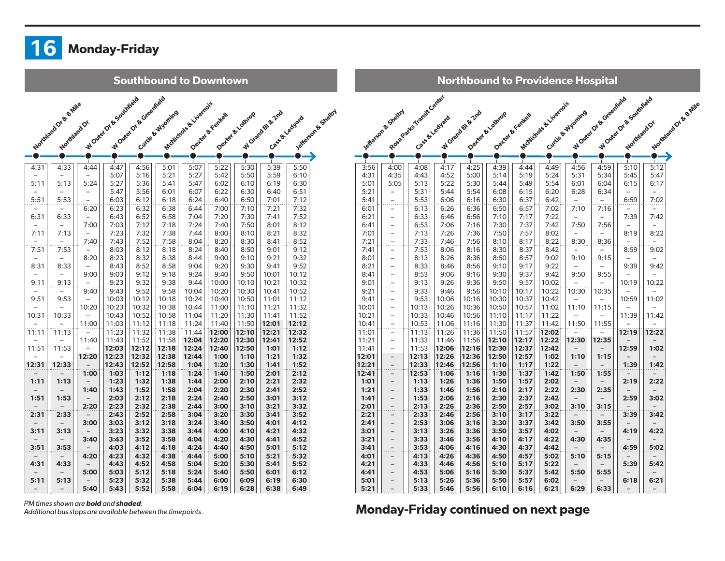

**Southbound to Downtown** 

|                          | Northiand of the British         |                          | WONEY OF B SONTINGO | WONEY OF B Greenheid |                  | McNichols & Liverpois |                 |                |                  |                                       |
|--------------------------|----------------------------------|--------------------------|---------------------|----------------------|------------------|-----------------------|-----------------|----------------|------------------|---------------------------------------|
|                          |                                  |                          |                     |                      | Curtis & Wyoming |                       | Dented & Kentel | Deter & Lourge | W Grand Bl & 2nd | Lefferson & Shelton<br>Case & Lediata |
|                          | Northland Or                     |                          |                     |                      |                  |                       |                 |                |                  |                                       |
|                          |                                  |                          |                     |                      |                  |                       |                 |                |                  |                                       |
|                          |                                  |                          |                     |                      |                  |                       |                 |                |                  |                                       |
|                          | $\mathbf{I}$                     |                          |                     | $\mathbf{I}$         | т.               | $\mathbf{I}$          |                 | $\mathbf{I}$   | $\mathbf{I}$     |                                       |
| 4:31                     | 4:33                             | 4:44                     | 4:47                | 4:56                 | 5:01             | 5:07                  | 5:22            | 5:30           | 5:39             | 5:50                                  |
| $\overline{\phantom{0}}$ | $\overline{\phantom{0}}$         | $\qquad \qquad -$        | 5:07                | 5:16                 | 5:21             | 5:27                  | 5:42            | 5:50           | 5:59             | 6:10                                  |
| 5:11                     | 5:13                             | 5:24                     | 5:27                | 5:36                 | 5:41             | 5:47                  | 6:02            | 6:10           | 6:19             | 6:30                                  |
|                          |                                  |                          | 5:47                | 5:56                 | 6:01             | 6:07                  | 6:22            | 6:30           | 6:40             | 6:51                                  |
| 5:51                     | 5:53                             |                          | 6:03                | 6:12                 | 6:18             | 6:24                  | 6:40            | 6:50           | 7:01             | 7:12                                  |
|                          |                                  | 6:20                     | 6:23                | 6:32                 | 6:38             | 6:44                  | 7:00            | 7:10           | 7:21             | 7:32                                  |
| 6:31                     | 6:33                             | $\overline{\phantom{a}}$ | 6:43                | 6:52                 | 6:58             | 7:04                  | 7:20            | 7:30           | 7:41             | 7:52                                  |
|                          |                                  | 7:00                     | 7:03                | 7:12                 | 7:18             | 7:24                  | 7:40            | 7:50           | 8:01             | 8:12                                  |
| 7:11                     | 7:13                             |                          | 7:23                | 7:32                 | 7:38             | 7:44                  | 8:00            | 8:10           | 8:21             | 8:32                                  |
|                          | $\overline{\phantom{0}}$         | 7:40                     | 7:43                | 7:52                 | 7:58             | 8:04                  | 8:20            | 8:30           | 8:41             | 8:52                                  |
| 7:51                     | 7:53<br>$\overline{\phantom{0}}$ | 8:20                     | 8:03<br>8:23        | 8:12<br>8:32         | 8:18<br>8:38     | 8:24<br>8:44          | 8:40<br>9:00    | 8:50<br>9:10   | 9:01<br>9:21     | 9:12<br>9:32                          |
| 8:31                     | 8:33                             |                          | 8:43                | 8:52                 | 8:58             | 9:04                  | 9:20            | 9:30           | 9:41             | 9:52                                  |
|                          |                                  | 9:00                     | 9:03                | 9:12                 | 9:18             | 9:24                  | 9:40            | 9:50           | 10:01            | 10:12                                 |
| 9:11                     | 9:13                             |                          | 9:23                | 9:32                 | 9:38             | 9:44                  | 10:00           | 10:10          | 10:21            | 10:32                                 |
| $\qquad \qquad -$        |                                  | 9:40                     | 9:43                | 9:52                 | 9:58             | 10:04                 | 10:20           | 10:30          | 10:41            | 10:52                                 |
| 9:51                     | 9:53                             |                          | 10:03               | 10:12                | 10:18            | 10:24                 | 10:40           | 10:50          | 11:01            | 11:12                                 |
| $\qquad \qquad -$        | -                                | 10:20                    | 10:23               | 10:32                | 10:38            | 10:44                 | 11:00           | 11:10          | 11:21            | 11:32                                 |
| 10:31                    | 10:33                            |                          | 10:43               | 10:52                | 10:58            | 11:04                 | 11:20           | 11:30          | 11:41            | 11:52                                 |
|                          |                                  | 11:00                    | 11:03               | 11:12                | 11:18            | 11:24                 | 11:40           | 11:50          | 12:01            | 12:12                                 |
| 11:11                    | 11:13                            |                          | 11:23               | 11:32                | 11:38            | 11:44                 | 12:00           | 12:10          | 12:21            | 12:32                                 |
| $\overline{\phantom{0}}$ | $\overline{\phantom{0}}$         | 11:40                    | 11:43               | 11:52                | 11:58            | 12:04                 | 12:20           | 12:30          | 12:41            | 12:52                                 |
| 11:51                    | 11:53                            |                          | 12:03               | 12:12                | 12:18            | 12:24                 | 12:40           | 12:50          | 1:01             | 1:12                                  |
|                          |                                  | 12:20                    | 12:23               | 12:32                | 12:38            | 12:44                 | 1:00            | 1:10           | 1:21             | 1:32                                  |
| 12:31                    | 12:33                            |                          | 12:43               | 12:52                | 12:58            | 1:04                  | 1:20            | 1:30           | 1:41             | 1:52                                  |
|                          |                                  | 1:00                     | 1:03                | 1:12                 | 1:18             | 1:24                  | 1:40            | 1:50           | 2:01             | 2:12                                  |
| 1:11                     | 1:13                             |                          | 1:23                | 1:32                 | 1:38             | 1:44                  | 2:00            | 2:10           | 2:21             | 2:32                                  |
|                          |                                  | 1:40                     | 1:43                | 1:52                 | 1:58             | 2:04                  | 2:20            | 2:30           | 2:41             | 2:52                                  |
| 1:51                     | 1:53                             | 2:20                     | 2:03<br>2:23        | 2:12<br>2:32         | 2:18<br>2:38     | 2:24<br>2:44          | 2:40<br>3:00    | 2:50<br>3:10   | 3:01<br>3:21     | 3:12<br>3:32                          |
|                          | 2:33                             |                          | 2:43                |                      |                  |                       |                 |                | 3:41             | 3:52                                  |
| 2:31                     |                                  | 3:00                     | 3:03                | 2:52<br>3:12         | 2:58<br>3:18     | 3:04<br>3:24          | 3:20<br>3:40    | 3:30<br>3:50   | 4:01             | 4:12                                  |
| 3:11                     | 3:13                             |                          | 3:23                | 3:32                 | 3:38             | 3:44                  | 4:00            | 4:10           | 4:21             | 4:32                                  |
|                          |                                  | 3:40                     | 3:43                | 3:52                 | 3:58             | 4:04                  | 4:20            | 4:30           | 4:41             | 4:52                                  |
| 3:51                     | 3:53                             |                          | 4:03                | 4:12                 | 4:18             | 4:24                  | 4:40            | 4:50           | 5:01             | 5:12                                  |
|                          |                                  | 4:20                     | 4:23                | 4:32                 | 4:38             | 4:44                  | 5:00            | 5:10           | 5:21             | 5:32                                  |
| 4:31                     | 4:33                             |                          | 4:43                | 4:52                 | 4:58             | 5:04                  | 5:20            | 5:30           | 5:41             | 5:52                                  |
|                          |                                  | 5:00                     | 5:03                | 5:12                 | 5:18             | 5:24                  | 5:40            | 5:50           | 6:01             | 6:12                                  |
| 5:11                     | 5:13                             |                          | 5:23                | 5:32                 | 5:38             | 5:44                  | 6:00            | 6:09           | 6:19             | 6:30                                  |
|                          |                                  | 5:40                     | 5:43                | 5:52                 | 5:58             | 6:04                  | 6:19            | 6:28           | 6:38             | 6:49                                  |
|                          |                                  |                          |                     |                      |                  |                       |                 |                |                  |                                       |

|                |                          |                          |                |                  |                |                 | <b>Northbound to Providence Hospital</b> |                   |                          |                        |                          |                      |
|----------------|--------------------------|--------------------------|----------------|------------------|----------------|-----------------|------------------------------------------|-------------------|--------------------------|------------------------|--------------------------|----------------------|
|                |                          | Road Parks Timest Center |                |                  |                |                 |                                          |                   | WONEY OF B Greenfield    | WONEY OF B SOUTHING OF |                          |                      |
|                | A SERIOR B STRIPT        |                          |                | W Grand Bl & Znd | Denter & Lamop | Dexert & Fental | McNichols & Livernois                    | Curtise & Wyoming |                          |                        |                          | Northandor & S. Wile |
|                |                          |                          | Lague Hedyard  |                  |                |                 |                                          |                   |                          | Northland Or           |                          |                      |
|                |                          |                          |                |                  |                |                 |                                          |                   |                          |                        |                          |                      |
|                |                          |                          |                |                  |                |                 |                                          |                   |                          |                        |                          |                      |
|                |                          |                          |                |                  |                |                 |                                          |                   |                          |                        |                          |                      |
| 3:56           | 4:00                     | 4:08                     | 4:17           | 4:25             | 4:39           | 4:44            | 4:49                                     | 4:56              | 4:59                     | 5:10                   | 5:12                     |                      |
| 4:31           | 4:35                     | 4:43                     | 4:52           | 5:00             | 5:14           | 5:19            | 5:24                                     | 5:31              | 5:34                     | 5:45                   | 5:47                     |                      |
| 5:01           | 5:05                     | 5:13                     | 5:22           | 5:30             | 5:44           | 5:49            | 5:54                                     | 6:01              | 6:04                     | 6:15                   | 6:17                     |                      |
| 5:21           | <sup>-</sup>             | 5:31                     | 5:44           | 5:54             | 6:08           | 6:15            | 6:20                                     | 6:28              | 6:34                     | $\qquad \qquad -$      | $\overline{\phantom{0}}$ |                      |
| 5:41           | $\overline{\ldots}$      | 5:53                     | 6:06           | 6:16             | 6:30           | 6:37            | 6:42                                     |                   |                          | 6:59                   | 7:02                     |                      |
| 6:01           |                          | 6:13                     | 6:26           | 6:36             | 6:50           | 6:57            | 7:02                                     | 7:10              | 7:16                     |                        |                          |                      |
| 6:21           | $\overline{\phantom{0}}$ | 6:33                     | 6:46           | 6:56             | 7:10           | 7:17            | 7:22                                     |                   |                          | 7:39                   | 7:42                     |                      |
| 6:41           | $\qquad \qquad -$        | 6:53                     | 7:06           | 7:16             | 7:30           | 7:37            | 7:42                                     | 7:50              | 7:56                     | $\qquad \qquad -$      | $\qquad \qquad -$        |                      |
| 7:01           | $\overline{\phantom{0}}$ | 7:13                     | 7:26           | 7:36             | 7:50           | 7:57            | 8:02                                     |                   |                          | 8:19                   | 8:22                     |                      |
| 7:21           | $\overline{a}$           | 7:33                     | 7:46           | 7:56             | 8:10           | 8:17            | 8:22                                     | 8:30              | 8:36                     |                        |                          |                      |
| 7:41           | <sup>-</sup>             | 7:53                     | 8:06           | 8:16             | 8:30           | 8:37            | 8:42                                     |                   |                          | 8:59                   | 9:02                     |                      |
| 8:01           | —                        | 8:13                     | 8:26           | 8:36             | 8:50           | 8:57            | 9:02                                     | 9:10              | 9:15                     |                        |                          |                      |
| 8:21           | -                        | 8:33                     | 8:46           | 8:56             | 9:10           | 9:17            | 9:22                                     |                   | $\overline{\phantom{0}}$ | 9:39                   | 9:42                     |                      |
| 8:41           | <sup>-</sup>             | 8:53                     | 9:06           | 9:16             | 9:30           | 9:37            | 9:42                                     | 9:50              | 9:55                     |                        |                          |                      |
| 9:01           |                          | 9:13                     | 9:26           | 9:36             | 9:50           | 9:57            | 10:02                                    |                   |                          | 10:19                  | 10:22                    |                      |
| 9:21           | -                        | 9:33                     | 9:46           | 9:56             | 10:10          | 10:17           | 10:22                                    | 10:30             | 10:35                    |                        |                          |                      |
| 9:41           | $\qquad \qquad -$        | 9:53                     | 10:06          | 10:16            | 10:30          | 10:37           | 10:42                                    |                   |                          | 10:59                  | 11:02                    |                      |
| 10:01          | $\qquad \qquad -$        | 10:13<br>10:33           | 10:26          | 10:36            | 10:50          | 10:57           | 11:02                                    | 11:10             | 11:15                    |                        | 11:42                    |                      |
| 10:21<br>10:41 | <sup>-</sup>             | 10:53                    | 10:46<br>11:06 | 10:56<br>11:16   | 11:10<br>11:30 | 11:17<br>11:37  | 11:22<br>11:42                           |                   |                          | 11:39                  |                          |                      |
|                | $\overline{\ldots}$      | 11:13                    | 11:26          | 11:36            | 11:50          | 11:57           | 12:02                                    | 11:50             | 11:55                    | 12:19                  | 12:22                    |                      |
| 11:01<br>11:21 | <sup>-</sup><br>—        | 11:33                    | 11:46          | 11:56            | 12:10          | 12:17           | 12:22                                    | 12:30             | 12:35                    |                        |                          |                      |
| 11:41          | $\overline{\phantom{0}}$ | 11:53                    | 12:06          | 12:16            | 12:30          | 12:37           | 12:42                                    |                   |                          | 12:59                  | 1:02                     |                      |
| 12:01          | $\qquad \qquad -$        | 12:13                    | 12:26          | 12:36            | 12:50          | 12:57           | 1:02                                     | 1:10              | 1:15                     |                        |                          |                      |
| 12:21          |                          | 12:33                    | 12:46          | 12:56            | 1:10           | 1:17            | 1:22                                     |                   |                          | 1:39                   | 1:42                     |                      |
| 12:41          |                          | 12:53                    | 1:06           | 1:16             | 1:30           | 1:37            | 1:42                                     | 1:50              | 1:55                     |                        |                          |                      |
| 1:01           | $\overline{\phantom{0}}$ | 1:13                     | 1:26           | 1:36             | 1:50           | 1:57            | 2:02                                     |                   |                          | 2:19                   | 2:22                     |                      |
| 1:21           | $\overline{\phantom{0}}$ | 1:33                     | 1:46           | 1:56             | 2:10           | 2:17            | 2:22                                     | 2:30              | 2:35                     |                        |                          |                      |
| 1:41           | $\overline{\phantom{0}}$ | 1:53                     | 2:06           | 2:16             | 2:30           | 2:37            | 2:42                                     |                   |                          | 2:59                   | 3:02                     |                      |
| 2:01           |                          | 2:13                     | 2:26           | 2:36             | 2:50           | 2:57            | 3:02                                     | 3:10              | 3:15                     |                        |                          |                      |
| 2:21           | .<br><sup>-</sup>        | 2:33                     | 2:46           | 2:56             | 3:10           | 3:17            | 3:22                                     |                   |                          | 3:39                   | 3:42                     |                      |
| 2:41           | -                        | 2:53                     | 3:06           | 3:16             | 3:30           | 3:37            | 3:42                                     | 3:50              | 3:55                     |                        |                          |                      |
| 3:01           | -                        | 3:13                     | 3:26           | 3:36             | 3:50           | 3:57            | 4:02                                     |                   |                          | 4:19                   | 4:22                     |                      |
| 3:21           | -                        | 3:33                     | 3:46           | 3:56             | 4:10           | 4:17            | 4:22                                     | 4:30              | 4:35                     |                        |                          |                      |
| 3:41           | $\qquad \qquad -$        | 3:53                     | 4:06           | 4:16             | 4:30           | 4:37            | 4:42                                     |                   |                          | 4:59                   | 5:02                     |                      |
| 4:01           | -                        | 4:13                     | 4:26           | 4:36             | 4:50           | 4:57            | 5:02                                     | 5:10              | 5:15                     |                        |                          |                      |
| 4:21           | -                        | 4:33                     | 4:46           | 4:56             | 5:10           | 5:17            | 5:22                                     |                   |                          | 5:39                   | 5:42                     |                      |
| 4:41           | -                        | 4:53                     | 5:06           | 5:16             | 5:30           | 5:37            | 5:42                                     | 5:50              | 5:55                     |                        |                          |                      |
| 5:01           | -                        | 5:13                     | 5:26           | 5:36             | 5:50           | 5:57            | 6:02                                     |                   |                          | 6:18                   | 6:21                     |                      |
| 5:21           |                          | 5:33                     | 5:46           | 5:56             | 6:10           | 6:16            | 6:21                                     | 6:29              | 6:33                     |                        |                          |                      |

*PM times shown are* bold *and* shaded*.* 

### *Additional bus stops are available between the timepoints.* Monday-Friday continued on next page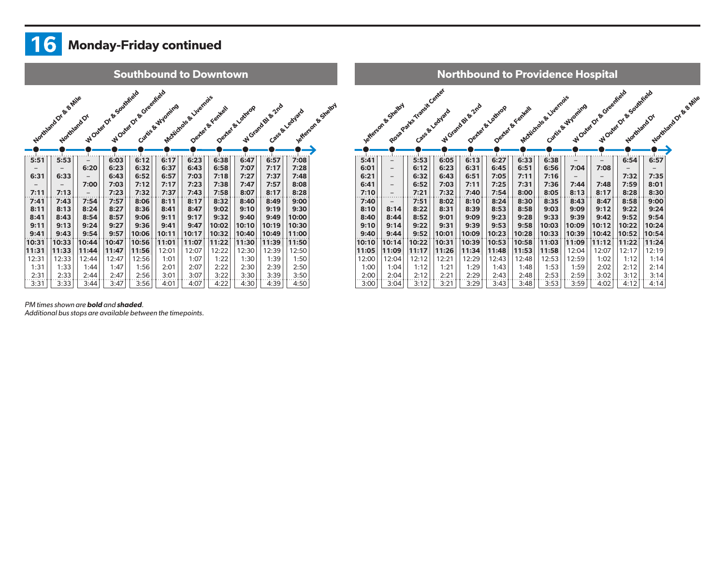#### $16$ Monday-Friday continued



#### *PM times shown are* bold *and* shaded*.*

*Additional bus stops are available between the timepoints.*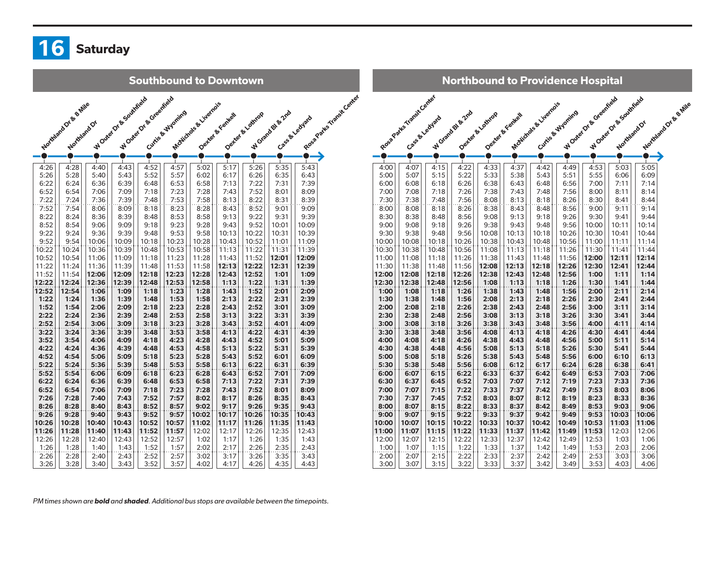

Southbound to Downtown

|              | Northeast Or Se Britis |              | WONEY OF B Southfield | WONEY OF B Greenheid |                  | McNichole & Livernois |                 |                  |                  | Road Parks Transit Center |
|--------------|------------------------|--------------|-----------------------|----------------------|------------------|-----------------------|-----------------|------------------|------------------|---------------------------|
|              |                        |              |                       |                      | Curtis & Myoning |                       | Denter & Fental | Decker & Lothrop | W Grand Bt & 2nd | Case & Ledyard            |
|              | Northland Or           |              |                       |                      |                  |                       |                 |                  |                  |                           |
|              |                        |              |                       |                      |                  |                       |                 |                  |                  |                           |
|              |                        |              |                       |                      |                  |                       |                 |                  |                  |                           |
|              |                        |              |                       |                      |                  |                       |                 |                  |                  |                           |
| 4:26         | 4:28                   | 4:40         | 4:43                  | 4:52                 | 4:57             | 5:02                  | 5:17            | 5:26             | 5:35             | 5:43                      |
| 5:26         | 5:28                   | 5:40         | 5:43                  | 5:52                 | 5:57             | 6:02                  | 6:17            | 6:26             | 6:35             | 6:43                      |
| 6:22         | 6:24                   | 6:36         | 6:39                  | 6:48                 | 6:53             | 6:58                  | 7:13            | 7:22             | 7:31             | 7:39                      |
| 6:52         | 6:54                   | 7:06         | 7:09                  | 7:18                 | 7:23             | 7:28                  | 7:43            | 7:52             | 8:01             | 8:09                      |
| 7:22         | 7:24                   | 7:36         | 7:39                  | 7:48                 | 7:53             | 7:58                  | 8:13            | 8:22             | 8:31             | 8:39                      |
| 7:52         | 7:54                   | 8:06         | 8:09                  | 8:18                 | 8:23             | 8:28                  | 8:43            | 8:52             | 9:01             | 9:09                      |
| 8:22         | 8:24<br>8:54           | 8:36         | 8:39                  | 8:48<br>9:18         | 8:53<br>9:23     | 8:58                  | 9:13<br>9:43    | 9:22<br>9:52     | 9:31<br>10:01    | 9:39<br>10:09             |
| 8:52<br>9:22 | 9:24                   | 9:06<br>9:36 | 9:09<br>9:39          | 9:48                 | 9:53             | 9:28<br>9:58          | 10:13           | 10:22            | 10:31            | 10:39                     |
| 9:52         | 9:54                   | 10:06        | 10:09                 | 10:18                | 10:23            | 10:28                 | 10:43           | 10:52            | 11:01            | 11:09                     |
| 10:22        | 10:24                  | 10:36        | 10:39                 | 10:48                | 10:53            | 10:58                 | 11:13           | 11:22            | 11:31            | 11:39                     |
| 10:52        | 10:54                  | 11:06        | 11:09                 | 11:18                | 11:23            | 11:28                 | 11:43           | 11:52            | 12:01            | 12:09                     |
| 11:22        | 11:24                  | 11:36        | 11:39                 | 11:48                | 11:53            | 11:58                 | 12:13           | 12:22            | 12:31            | 12:39                     |
| 11:52        | 11:54                  | 12:06        | 12:09                 | 12:18                | 12:23            | 12:28                 | 12:43           | 12:52            | 1:01             | 1:09                      |
| 12:22        | 12:24                  | 12:36        | 12:39                 | 12:48                | 12:53            | 12:58                 | 1:13            | 1:22             | 1:31             | 1:39                      |
| 12:52        | 12:54                  | 1:06         | 1:09                  | 1:18                 | 1:23             | 1:28                  | 1:43            | 1:52             | 2:01             | 2:09                      |
| 1:22         | 1:24                   | 1:36         | 1:39                  | 1:48                 | 1:53             | 1:58                  | 2:13            | 2:22             | 2:31             | 2:39                      |
| 1:52         | 1:54                   | 2:06         | 2:09                  | 2:18                 | 2:23             | 2:28                  | 2:43            | 2:52             | 3:01             | 3:09                      |
| 2:22         | 2:24                   | 2:36         | 2:39                  | 2:48                 | 2:53             | 2:58                  | 3:13            | 3:22             | 3:31             | 3:39                      |
| 2:52         | 2:54                   | 3:06         | 3:09                  | 3:18                 | 3:23             | 3:28                  | 3:43            | 3:52             | 4:01             | 4:09                      |
| 3:22         | 3:24                   | 3:36         | 3:39                  | 3:48                 | 3:53             | 3:58                  | 4:13            | 4:22             | 4:31             | 4:39                      |
| 3:52         | 3:54                   | 4:06         | 4:09                  | 4:18                 | 4:23             | 4:28                  | 4:43            | 4:52             | 5:01             | 5:09                      |
| 4:22         | 4:24                   | 4:36         | 4:39                  | 4:48                 | 4:53             | 4:58                  | 5:13            | 5:22             | 5:31             | 5:39                      |
| 4:52         | 4:54                   | 5:06         | 5:09                  | 5:18                 | 5:23             | 5:28                  | 5:43            | 5:52             | 6:01             | 6:09                      |
| 5:22         | 5:24                   | 5:36         | 5:39                  | 5:48                 | 5:53             | 5:58                  | 6:13            | 6:22             | 6:31             | 6:39                      |
| 5:52         | 5:54                   | 6:06         | 6:09                  | 6:18                 | 6:23             | 6:28                  | 6:43            | 6:52             | 7:01             | 7:09                      |
| 6:22         | 6:24<br>6:54           | 6:36<br>7:06 | 6:39<br>7:09          | 6:48<br>7:18         | 6:53<br>7:23     | 6:58<br>7:28          | 7:13<br>7:43    | 7:22<br>7:52     | 7:31<br>8:01     | 7:39<br>8:09              |
| 6:52<br>7:26 | 7:28                   | 7:40         | 7:43                  | 7:52                 | 7:57             | 8:02                  | 8:17            | 8:26             | 8:35             | 8:43                      |
| 8:26         | 8:28                   | 8:40         | 8:43                  | 8:52                 | 8:57             | 9:02                  | 9:17            | 9:26             | 9:35             | 9:43                      |
| 9:26         | 9:28                   | 9:40         | 9:43                  | 9:52                 | 9:57             | 10:02                 | 10:17           | 10:26            | 10:35            | 10:43                     |
| 10:26        | 10:28                  | 10:40        | 10:43                 | 10:52                | 10:57            | 11:02                 | 11:17           | 11:26            | 11:35            | 11:43                     |
| 11:26        | 11:28                  | 11:40        | 11:43                 | 11:52                | 11:57            | 12:02                 | 12:17           | 12:26            | 12:35            | 12:43                     |
| 12:26        | 12:28                  | 12:40        | 12:43                 | 12:52                | 12:57            | 1:02                  | 1:17            | 1:26             | 1:35             | 1:43                      |
| 1:26         | 1:28                   | 1:40         | 1:43                  | 1:52                 | 1:57             | 2:02                  | 2:17            | 2:26             | 2:35             | 2:43                      |
| 2:26         | 2:28                   | 2:40         | 2:43                  | 2:52                 | 2:57             | 3:02                  | 3:17            | 3:26             | 3:35             | 3:43                      |
| 3:26         | 3:28                   | 3:40         | 3:43                  | 3:52                 | 3:57             | 4:02                  | 4:17            | 4:26             | 4:35             | 4:43                      |

Northbound to Providence Hospital 4:00|| 4:07|| 4:15|| 4:22|| 4:33|| 4:37|| 4:42|| 4:49|| 4:53|| 5:03|| 5:05 5:00 5:07 5:15 5:22 5:33 5:38 5:43 5:51 5:55 6:06 6:09 6:00 6:08 6:18 6:26 6:38 6:43 6:48 6:56 7:00 7:11 7:14 7:00|| 7:08|| 7:18|| 7:26|| 7:38|| 7:43|| 7:48|| 7:56|| 8:00|| 8:11|| 8:14 7:30|| 7:38|| 7:48|| 7:56|| 8:08|| 8:13|| 8:18|| 8:26|| 8:30|| 8:41|| 8:44 8:00 8:08 8:18 8:26 8:38 8:43 8:48 8:56 9:00 9:11 9:14 8:30 | 8:38 | 8:48 | 8:56 | 9:08 | 9:13 | 9:18 | 9:26 | 9:30 | 9:41 | 9:44 9:00|| 9:08|| 9:18|| 9:26|| 9:38|| 9:43|| 9:48|| 9:56||10:00||10:11||10:14 9:30 | | 9:38 | 9:48 | 9:56 | | 10:08 | | 10:13 | | 10:18 | | 10:26 | | 10:30 | | 10:41 | | 10:44 10:00 | 10:08 | 10:18 | 10:26 | 10:38 | 10:43 | 10:48 | 10:56 | 11:00 | 11:11 | 11:14 10:30 | 10:38 | 10:48 | 10:56 | 11:08 | 11:13 | 11:18 | 11:26 | 11:30 | 11:41 | 11:44 11:00 | 11:08 | 11:18 | 11:26 | 11:38 | 11:43 | 11:48 | 11:56 | **12:00 | 12:11 | 12:14** 11:30 11:38 11:48 11:56 12:08 12:13 12:18 12:26 12:30 12:41 12:44 12:00 12:08 12:18 12:26 12:38 12:43 12:48 12:56 1:00 1:11 1:14 12:30 12:38 12:48 12:56 1:08 1:13 1:18 1:26 1:30 1:41 1:44 1:00 | 1:08 | 1:18 | 1:26 | 1:38 | 1:43 | 1:48 | 1:56 | 2:00 | 2:11 | 2:14 1:30 | 1:38 | 1:48 | 1:56 | 2:08 | 2:13 | 2:18 | 2:26 | 2:30 | 2:41 | 2:44 2:00 | 2:08 | 2:18 | 2:26 | 2:38 | 2:43 | 2:48 | 2:56 | 3:00 | 3:11 | 3:14 2:30 | 2:38 | 2:48 | 2:56 | 3:08 | 3:13 | 3:18 | 3:26 | 3:30 | 3:41 | 3:44 3:00 | 3:08 | 3:18 | 3:26 | 3:38 | 3:43 | 3:48 | 3:56 | 4:00 | 4:11 | 4:14 3:30 | 3:38 | 3:48 | 3:56 | 4:08 | 4:13 | 4:18 | 4:26 | 4:30 | 4:41 | 4:44 4:00 | 4:08 | 4:18 | 4:26 | 4:38 | 4:43 | 4:48 | 4:56 | 5:00 | 5:11 | 5:14 4:30 | 4:38 | 4:48 | 4:56 | 5:08 | 5:13 | 5:18 | 5:26 | 5:30 | 5:41 | 5:44 5:00 5:08 5:18 5:26 5:38 5:43 5:48 5:56 6:00 6:10 6:13 5:30 5:38 5:48 5:56 6:08 6:12 6:17 6:24 6:28 6:38 6:41 6:00 6:07 6:15 6:22 6:33 6:37 6:42 6:49 6:53 7:03 7:06 6:30 | 6:37 | 6:45 | 6:52 | 7:03 | 7:07 | 7:12 | 7:19 | 7:23 | 7:33 | 7:36 7:00 | 7:07 | 7:15 | 7:22 | 7:33 | 7:37 | 7:42 | 7:49 | 7:53 | 8:03 | 8:06 7:30 | 7:37 | 7:45 | 7:52 | 8:03 | 8:07 | 8:12 | 8:19 | 8:23 | 8:33 | 8:36 8:00 | 8:07 | 8:15 | 8:22 | 8:33 | 8:37 | 8:42 | 8:49 | 8:53 | 9:03 | 9:06 9:00 | 9:07 | 9:15 | 9:22 | 9:33 | 9:37 | 9:42 | 9:49 | 9:53 |10:03 |10:06 10:00 10:07 10:15 10:22 10:33 10:37 10:42 10:49 10:53 11:03 11:06 11:00 | 11:07 | 11:15 | 11:22 | 11:33 | 11:37 | 11:42 | 11:49 | 11:53 | 12:03 | 12:06 12:00 | 12:07 | 12:15 | 12:22 | 12:33 | 12:37 | 12:42 | 12:49 | 12:53 | | 1:03 | | 1:06 1:00 | 1:07 | 1:15 | 1:22 | 1:33 | 1:37 | 1:42 | 1:49 | 1:53 | 2:03 | 2:06  $2:00 \begin{bmatrix} 2:07 \end{bmatrix}$  2:15  $\begin{bmatrix} 2:22 \end{bmatrix}$  2:33  $\begin{bmatrix} 2:37 \end{bmatrix}$  2:42  $\begin{bmatrix} 2:49 \end{bmatrix}$  2:53  $\begin{bmatrix} 3:03 \end{bmatrix}$  3:06 3:00 3:07 3:15 3:22 3:33 3:37 3:42 3:49 3:53 4:03 4:06 Rosa Patts Transit Center Cass & Leavard W Grand Bl & 2nd Dexter & Lothrop Dexter & Fentell McNichols & Livernois Curtis & Wyoming W Outer Or & Greenfield Assembly W Outer Dr & Southfield Northland Dr & 8 Mile

*PM times shown are* bold *and* shaded*. Additional bus stops are available between the timepoints.*